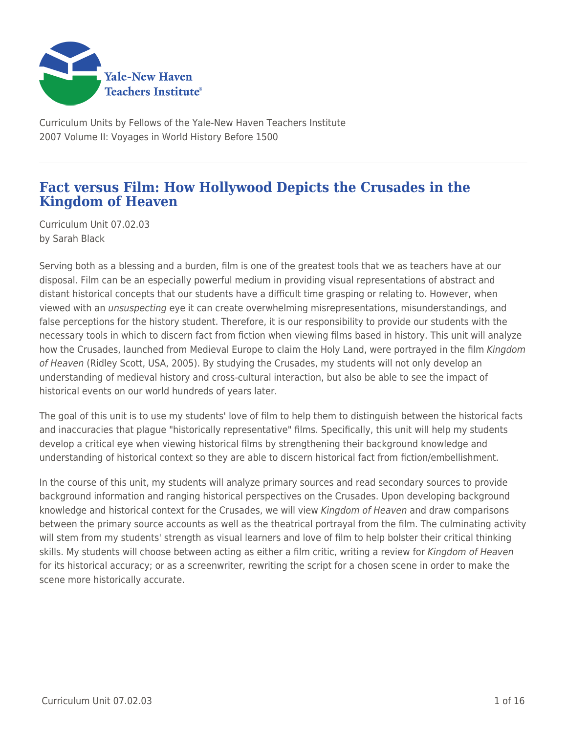

Curriculum Units by Fellows of the Yale-New Haven Teachers Institute 2007 Volume II: Voyages in World History Before 1500

## **Fact versus Film: How Hollywood Depicts the Crusades in the Kingdom of Heaven**

Curriculum Unit 07.02.03 by Sarah Black

Serving both as a blessing and a burden, film is one of the greatest tools that we as teachers have at our disposal. Film can be an especially powerful medium in providing visual representations of abstract and distant historical concepts that our students have a difficult time grasping or relating to. However, when viewed with an unsuspecting eye it can create overwhelming misrepresentations, misunderstandings, and false perceptions for the history student. Therefore, it is our responsibility to provide our students with the necessary tools in which to discern fact from fiction when viewing films based in history. This unit will analyze how the Crusades, launched from Medieval Europe to claim the Holy Land, were portrayed in the film Kingdom of Heaven (Ridley Scott, USA, 2005). By studying the Crusades, my students will not only develop an understanding of medieval history and cross-cultural interaction, but also be able to see the impact of historical events on our world hundreds of years later.

The goal of this unit is to use my students' love of film to help them to distinguish between the historical facts and inaccuracies that plague "historically representative" films. Specifically, this unit will help my students develop a critical eye when viewing historical films by strengthening their background knowledge and understanding of historical context so they are able to discern historical fact from fiction/embellishment.

In the course of this unit, my students will analyze primary sources and read secondary sources to provide background information and ranging historical perspectives on the Crusades. Upon developing background knowledge and historical context for the Crusades, we will view Kingdom of Heaven and draw comparisons between the primary source accounts as well as the theatrical portrayal from the film. The culminating activity will stem from my students' strength as visual learners and love of film to help bolster their critical thinking skills. My students will choose between acting as either a film critic, writing a review for Kingdom of Heaven for its historical accuracy; or as a screenwriter, rewriting the script for a chosen scene in order to make the scene more historically accurate.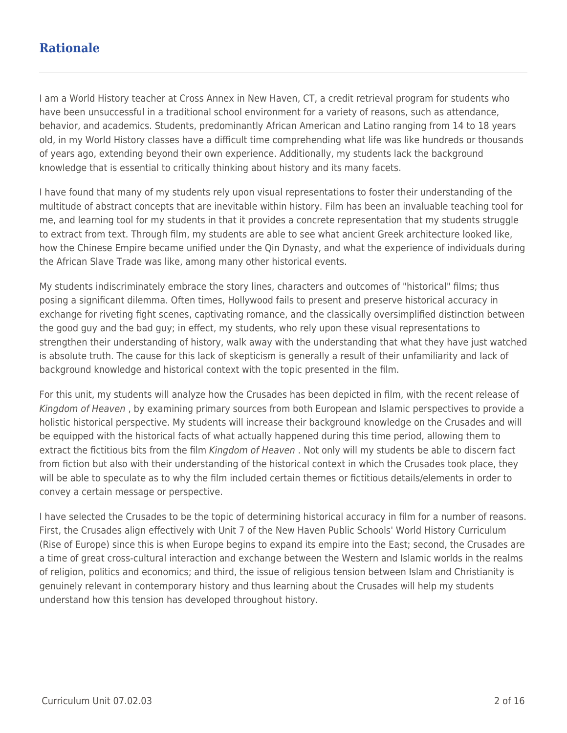## **Rationale**

I am a World History teacher at Cross Annex in New Haven, CT, a credit retrieval program for students who have been unsuccessful in a traditional school environment for a variety of reasons, such as attendance, behavior, and academics. Students, predominantly African American and Latino ranging from 14 to 18 years old, in my World History classes have a difficult time comprehending what life was like hundreds or thousands of years ago, extending beyond their own experience. Additionally, my students lack the background knowledge that is essential to critically thinking about history and its many facets.

I have found that many of my students rely upon visual representations to foster their understanding of the multitude of abstract concepts that are inevitable within history. Film has been an invaluable teaching tool for me, and learning tool for my students in that it provides a concrete representation that my students struggle to extract from text. Through film, my students are able to see what ancient Greek architecture looked like, how the Chinese Empire became unified under the Qin Dynasty, and what the experience of individuals during the African Slave Trade was like, among many other historical events.

My students indiscriminately embrace the story lines, characters and outcomes of "historical" films; thus posing a significant dilemma. Often times, Hollywood fails to present and preserve historical accuracy in exchange for riveting fight scenes, captivating romance, and the classically oversimplified distinction between the good guy and the bad guy; in effect, my students, who rely upon these visual representations to strengthen their understanding of history, walk away with the understanding that what they have just watched is absolute truth. The cause for this lack of skepticism is generally a result of their unfamiliarity and lack of background knowledge and historical context with the topic presented in the film.

For this unit, my students will analyze how the Crusades has been depicted in film, with the recent release of Kingdom of Heaven , by examining primary sources from both European and Islamic perspectives to provide a holistic historical perspective. My students will increase their background knowledge on the Crusades and will be equipped with the historical facts of what actually happened during this time period, allowing them to extract the fictitious bits from the film Kingdom of Heaven . Not only will my students be able to discern fact from fiction but also with their understanding of the historical context in which the Crusades took place, they will be able to speculate as to why the film included certain themes or fictitious details/elements in order to convey a certain message or perspective.

I have selected the Crusades to be the topic of determining historical accuracy in film for a number of reasons. First, the Crusades align effectively with Unit 7 of the New Haven Public Schools' World History Curriculum (Rise of Europe) since this is when Europe begins to expand its empire into the East; second, the Crusades are a time of great cross-cultural interaction and exchange between the Western and Islamic worlds in the realms of religion, politics and economics; and third, the issue of religious tension between Islam and Christianity is genuinely relevant in contemporary history and thus learning about the Crusades will help my students understand how this tension has developed throughout history.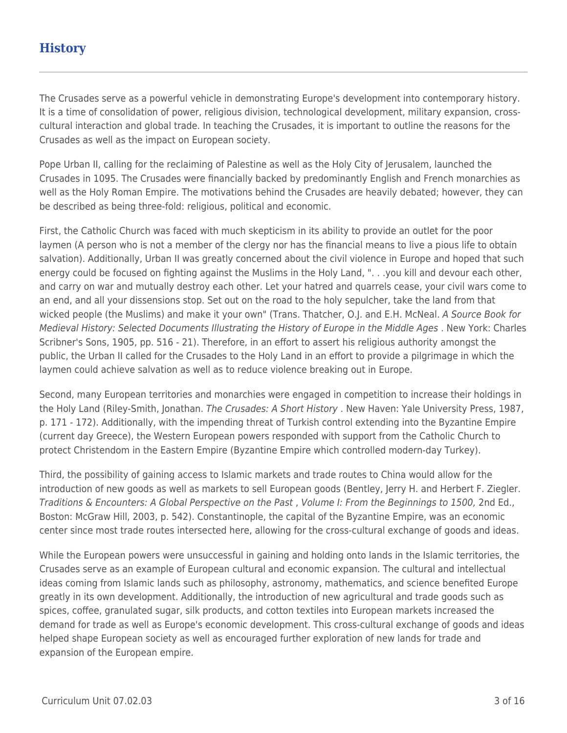# **History**

The Crusades serve as a powerful vehicle in demonstrating Europe's development into contemporary history. It is a time of consolidation of power, religious division, technological development, military expansion, crosscultural interaction and global trade. In teaching the Crusades, it is important to outline the reasons for the Crusades as well as the impact on European society.

Pope Urban II, calling for the reclaiming of Palestine as well as the Holy City of Jerusalem, launched the Crusades in 1095. The Crusades were financially backed by predominantly English and French monarchies as well as the Holy Roman Empire. The motivations behind the Crusades are heavily debated; however, they can be described as being three-fold: religious, political and economic.

First, the Catholic Church was faced with much skepticism in its ability to provide an outlet for the poor laymen (A person who is not a member of the clergy nor has the financial means to live a pious life to obtain salvation). Additionally, Urban II was greatly concerned about the civil violence in Europe and hoped that such energy could be focused on fighting against the Muslims in the Holy Land, ". . .you kill and devour each other, and carry on war and mutually destroy each other. Let your hatred and quarrels cease, your civil wars come to an end, and all your dissensions stop. Set out on the road to the holy sepulcher, take the land from that wicked people (the Muslims) and make it your own" (Trans. Thatcher, O.J. and E.H. McNeal. A Source Book for Medieval History: Selected Documents Illustrating the History of Europe in the Middle Ages . New York: Charles Scribner's Sons, 1905, pp. 516 - 21). Therefore, in an effort to assert his religious authority amongst the public, the Urban II called for the Crusades to the Holy Land in an effort to provide a pilgrimage in which the laymen could achieve salvation as well as to reduce violence breaking out in Europe.

Second, many European territories and monarchies were engaged in competition to increase their holdings in the Holy Land (Riley-Smith, Jonathan. The Crusades: A Short History . New Haven: Yale University Press, 1987, p. 171 - 172). Additionally, with the impending threat of Turkish control extending into the Byzantine Empire (current day Greece), the Western European powers responded with support from the Catholic Church to protect Christendom in the Eastern Empire (Byzantine Empire which controlled modern-day Turkey).

Third, the possibility of gaining access to Islamic markets and trade routes to China would allow for the introduction of new goods as well as markets to sell European goods (Bentley, Jerry H. and Herbert F. Ziegler. Traditions & Encounters: A Global Perspective on the Past , Volume I: From the Beginnings to 1500, 2nd Ed., Boston: McGraw Hill, 2003, p. 542). Constantinople, the capital of the Byzantine Empire, was an economic center since most trade routes intersected here, allowing for the cross-cultural exchange of goods and ideas.

While the European powers were unsuccessful in gaining and holding onto lands in the Islamic territories, the Crusades serve as an example of European cultural and economic expansion. The cultural and intellectual ideas coming from Islamic lands such as philosophy, astronomy, mathematics, and science benefited Europe greatly in its own development. Additionally, the introduction of new agricultural and trade goods such as spices, coffee, granulated sugar, silk products, and cotton textiles into European markets increased the demand for trade as well as Europe's economic development. This cross-cultural exchange of goods and ideas helped shape European society as well as encouraged further exploration of new lands for trade and expansion of the European empire.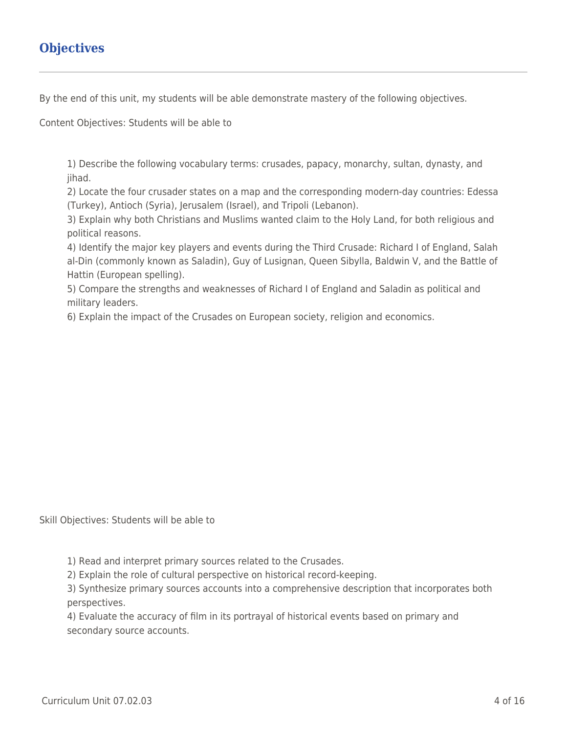# **Objectives**

By the end of this unit, my students will be able demonstrate mastery of the following objectives.

Content Objectives: Students will be able to

1) Describe the following vocabulary terms: crusades, papacy, monarchy, sultan, dynasty, and jihad.

2) Locate the four crusader states on a map and the corresponding modern-day countries: Edessa (Turkey), Antioch (Syria), Jerusalem (Israel), and Tripoli (Lebanon).

3) Explain why both Christians and Muslims wanted claim to the Holy Land, for both religious and political reasons.

4) Identify the major key players and events during the Third Crusade: Richard I of England, Salah al-Din (commonly known as Saladin), Guy of Lusignan, Queen Sibylla, Baldwin V, and the Battle of Hattin (European spelling).

5) Compare the strengths and weaknesses of Richard I of England and Saladin as political and military leaders.

6) Explain the impact of the Crusades on European society, religion and economics.

Skill Objectives: Students will be able to

1) Read and interpret primary sources related to the Crusades.

2) Explain the role of cultural perspective on historical record-keeping.

3) Synthesize primary sources accounts into a comprehensive description that incorporates both perspectives.

4) Evaluate the accuracy of film in its portrayal of historical events based on primary and secondary source accounts.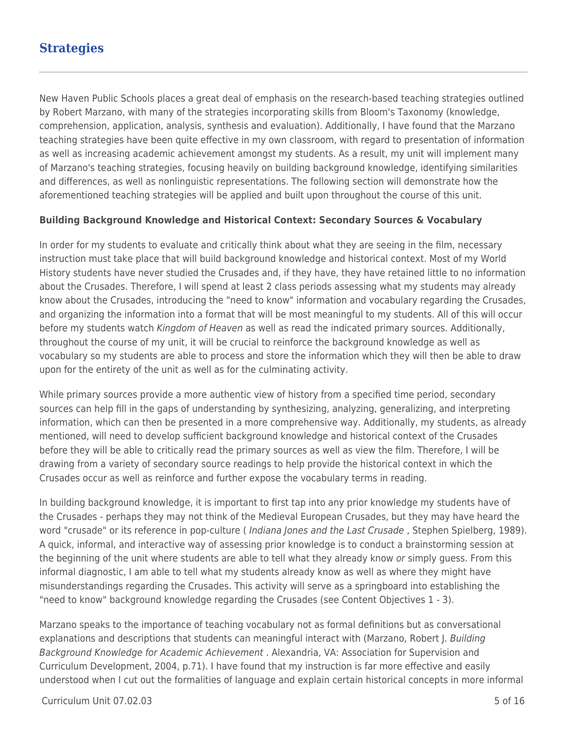## **Strategies**

New Haven Public Schools places a great deal of emphasis on the research-based teaching strategies outlined by Robert Marzano, with many of the strategies incorporating skills from Bloom's Taxonomy (knowledge, comprehension, application, analysis, synthesis and evaluation). Additionally, I have found that the Marzano teaching strategies have been quite effective in my own classroom, with regard to presentation of information as well as increasing academic achievement amongst my students. As a result, my unit will implement many of Marzano's teaching strategies, focusing heavily on building background knowledge, identifying similarities and differences, as well as nonlinguistic representations. The following section will demonstrate how the aforementioned teaching strategies will be applied and built upon throughout the course of this unit.

#### **Building Background Knowledge and Historical Context: Secondary Sources & Vocabulary**

In order for my students to evaluate and critically think about what they are seeing in the film, necessary instruction must take place that will build background knowledge and historical context. Most of my World History students have never studied the Crusades and, if they have, they have retained little to no information about the Crusades. Therefore, I will spend at least 2 class periods assessing what my students may already know about the Crusades, introducing the "need to know" information and vocabulary regarding the Crusades, and organizing the information into a format that will be most meaningful to my students. All of this will occur before my students watch Kingdom of Heaven as well as read the indicated primary sources. Additionally, throughout the course of my unit, it will be crucial to reinforce the background knowledge as well as vocabulary so my students are able to process and store the information which they will then be able to draw upon for the entirety of the unit as well as for the culminating activity.

While primary sources provide a more authentic view of history from a specified time period, secondary sources can help fill in the gaps of understanding by synthesizing, analyzing, generalizing, and interpreting information, which can then be presented in a more comprehensive way. Additionally, my students, as already mentioned, will need to develop sufficient background knowledge and historical context of the Crusades before they will be able to critically read the primary sources as well as view the film. Therefore, I will be drawing from a variety of secondary source readings to help provide the historical context in which the Crusades occur as well as reinforce and further expose the vocabulary terms in reading.

In building background knowledge, it is important to first tap into any prior knowledge my students have of the Crusades - perhaps they may not think of the Medieval European Crusades, but they may have heard the word "crusade" or its reference in pop-culture (Indiana Jones and the Last Crusade, Stephen Spielberg, 1989). A quick, informal, and interactive way of assessing prior knowledge is to conduct a brainstorming session at the beginning of the unit where students are able to tell what they already know or simply guess. From this informal diagnostic, I am able to tell what my students already know as well as where they might have misunderstandings regarding the Crusades. This activity will serve as a springboard into establishing the "need to know" background knowledge regarding the Crusades (see Content Objectives 1 - 3).

Marzano speaks to the importance of teaching vocabulary not as formal definitions but as conversational explanations and descriptions that students can meaningful interact with (Marzano, Robert J. Building Background Knowledge for Academic Achievement . Alexandria, VA: Association for Supervision and Curriculum Development, 2004, p.71). I have found that my instruction is far more effective and easily understood when I cut out the formalities of language and explain certain historical concepts in more informal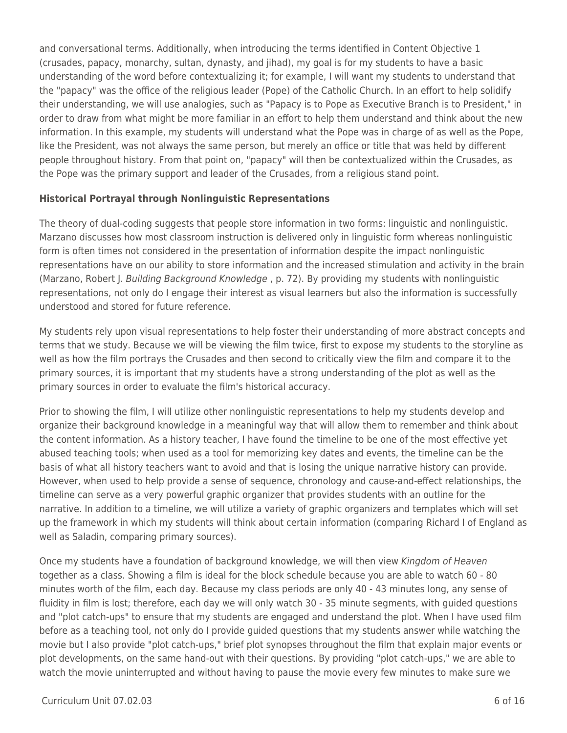and conversational terms. Additionally, when introducing the terms identified in Content Objective 1 (crusades, papacy, monarchy, sultan, dynasty, and jihad), my goal is for my students to have a basic understanding of the word before contextualizing it; for example, I will want my students to understand that the "papacy" was the office of the religious leader (Pope) of the Catholic Church. In an effort to help solidify their understanding, we will use analogies, such as "Papacy is to Pope as Executive Branch is to President," in order to draw from what might be more familiar in an effort to help them understand and think about the new information. In this example, my students will understand what the Pope was in charge of as well as the Pope, like the President, was not always the same person, but merely an office or title that was held by different people throughout history. From that point on, "papacy" will then be contextualized within the Crusades, as the Pope was the primary support and leader of the Crusades, from a religious stand point.

### **Historical Portrayal through Nonlinguistic Representations**

The theory of dual-coding suggests that people store information in two forms: linguistic and nonlinguistic. Marzano discusses how most classroom instruction is delivered only in linguistic form whereas nonlinguistic form is often times not considered in the presentation of information despite the impact nonlinguistic representations have on our ability to store information and the increased stimulation and activity in the brain (Marzano, Robert J. Building Background Knowledge, p. 72). By providing my students with nonlinguistic representations, not only do I engage their interest as visual learners but also the information is successfully understood and stored for future reference.

My students rely upon visual representations to help foster their understanding of more abstract concepts and terms that we study. Because we will be viewing the film twice, first to expose my students to the storyline as well as how the film portrays the Crusades and then second to critically view the film and compare it to the primary sources, it is important that my students have a strong understanding of the plot as well as the primary sources in order to evaluate the film's historical accuracy.

Prior to showing the film, I will utilize other nonlinguistic representations to help my students develop and organize their background knowledge in a meaningful way that will allow them to remember and think about the content information. As a history teacher, I have found the timeline to be one of the most effective yet abused teaching tools; when used as a tool for memorizing key dates and events, the timeline can be the basis of what all history teachers want to avoid and that is losing the unique narrative history can provide. However, when used to help provide a sense of sequence, chronology and cause-and-effect relationships, the timeline can serve as a very powerful graphic organizer that provides students with an outline for the narrative. In addition to a timeline, we will utilize a variety of graphic organizers and templates which will set up the framework in which my students will think about certain information (comparing Richard I of England as well as Saladin, comparing primary sources).

Once my students have a foundation of background knowledge, we will then view Kingdom of Heaven together as a class. Showing a film is ideal for the block schedule because you are able to watch 60 - 80 minutes worth of the film, each day. Because my class periods are only 40 - 43 minutes long, any sense of fluidity in film is lost; therefore, each day we will only watch 30 - 35 minute segments, with guided questions and "plot catch-ups" to ensure that my students are engaged and understand the plot. When I have used film before as a teaching tool, not only do I provide guided questions that my students answer while watching the movie but I also provide "plot catch-ups," brief plot synopses throughout the film that explain major events or plot developments, on the same hand-out with their questions. By providing "plot catch-ups," we are able to watch the movie uninterrupted and without having to pause the movie every few minutes to make sure we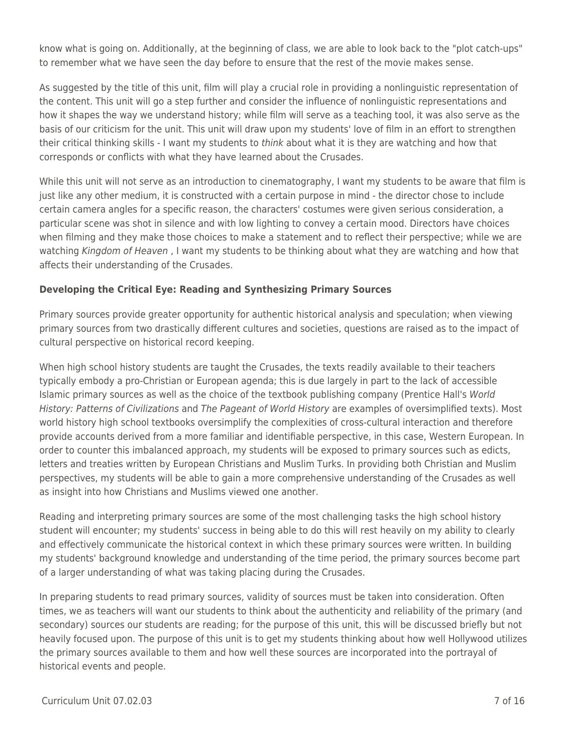know what is going on. Additionally, at the beginning of class, we are able to look back to the "plot catch-ups" to remember what we have seen the day before to ensure that the rest of the movie makes sense.

As suggested by the title of this unit, film will play a crucial role in providing a nonlinguistic representation of the content. This unit will go a step further and consider the influence of nonlinguistic representations and how it shapes the way we understand history; while film will serve as a teaching tool, it was also serve as the basis of our criticism for the unit. This unit will draw upon my students' love of film in an effort to strengthen their critical thinking skills - I want my students to *think* about what it is they are watching and how that corresponds or conflicts with what they have learned about the Crusades.

While this unit will not serve as an introduction to cinematography, I want my students to be aware that film is just like any other medium, it is constructed with a certain purpose in mind - the director chose to include certain camera angles for a specific reason, the characters' costumes were given serious consideration, a particular scene was shot in silence and with low lighting to convey a certain mood. Directors have choices when filming and they make those choices to make a statement and to reflect their perspective; while we are watching Kingdom of Heaven, I want my students to be thinking about what they are watching and how that affects their understanding of the Crusades.

### **Developing the Critical Eye: Reading and Synthesizing Primary Sources**

Primary sources provide greater opportunity for authentic historical analysis and speculation; when viewing primary sources from two drastically different cultures and societies, questions are raised as to the impact of cultural perspective on historical record keeping.

When high school history students are taught the Crusades, the texts readily available to their teachers typically embody a pro-Christian or European agenda; this is due largely in part to the lack of accessible Islamic primary sources as well as the choice of the textbook publishing company (Prentice Hall's World History: Patterns of Civilizations and The Pageant of World History are examples of oversimplified texts). Most world history high school textbooks oversimplify the complexities of cross-cultural interaction and therefore provide accounts derived from a more familiar and identifiable perspective, in this case, Western European. In order to counter this imbalanced approach, my students will be exposed to primary sources such as edicts, letters and treaties written by European Christians and Muslim Turks. In providing both Christian and Muslim perspectives, my students will be able to gain a more comprehensive understanding of the Crusades as well as insight into how Christians and Muslims viewed one another.

Reading and interpreting primary sources are some of the most challenging tasks the high school history student will encounter; my students' success in being able to do this will rest heavily on my ability to clearly and effectively communicate the historical context in which these primary sources were written. In building my students' background knowledge and understanding of the time period, the primary sources become part of a larger understanding of what was taking placing during the Crusades.

In preparing students to read primary sources, validity of sources must be taken into consideration. Often times, we as teachers will want our students to think about the authenticity and reliability of the primary (and secondary) sources our students are reading; for the purpose of this unit, this will be discussed briefly but not heavily focused upon. The purpose of this unit is to get my students thinking about how well Hollywood utilizes the primary sources available to them and how well these sources are incorporated into the portrayal of historical events and people.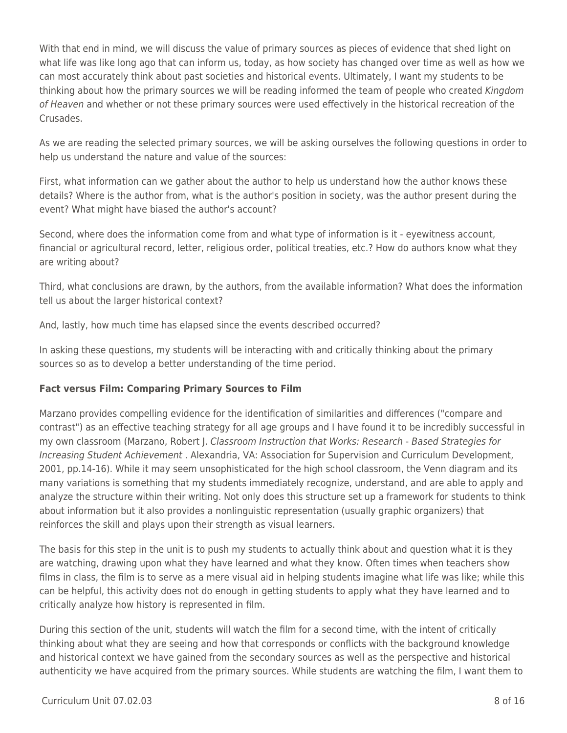With that end in mind, we will discuss the value of primary sources as pieces of evidence that shed light on what life was like long ago that can inform us, today, as how society has changed over time as well as how we can most accurately think about past societies and historical events. Ultimately, I want my students to be thinking about how the primary sources we will be reading informed the team of people who created Kingdom of Heaven and whether or not these primary sources were used effectively in the historical recreation of the Crusades.

As we are reading the selected primary sources, we will be asking ourselves the following questions in order to help us understand the nature and value of the sources:

First, what information can we gather about the author to help us understand how the author knows these details? Where is the author from, what is the author's position in society, was the author present during the event? What might have biased the author's account?

Second, where does the information come from and what type of information is it - eyewitness account, financial or agricultural record, letter, religious order, political treaties, etc.? How do authors know what they are writing about?

Third, what conclusions are drawn, by the authors, from the available information? What does the information tell us about the larger historical context?

And, lastly, how much time has elapsed since the events described occurred?

In asking these questions, my students will be interacting with and critically thinking about the primary sources so as to develop a better understanding of the time period.

### **Fact versus Film: Comparing Primary Sources to Film**

Marzano provides compelling evidence for the identification of similarities and differences ("compare and contrast") as an effective teaching strategy for all age groups and I have found it to be incredibly successful in my own classroom (Marzano, Robert J. Classroom Instruction that Works: Research - Based Strategies for Increasing Student Achievement . Alexandria, VA: Association for Supervision and Curriculum Development, 2001, pp.14-16). While it may seem unsophisticated for the high school classroom, the Venn diagram and its many variations is something that my students immediately recognize, understand, and are able to apply and analyze the structure within their writing. Not only does this structure set up a framework for students to think about information but it also provides a nonlinguistic representation (usually graphic organizers) that reinforces the skill and plays upon their strength as visual learners.

The basis for this step in the unit is to push my students to actually think about and question what it is they are watching, drawing upon what they have learned and what they know. Often times when teachers show films in class, the film is to serve as a mere visual aid in helping students imagine what life was like; while this can be helpful, this activity does not do enough in getting students to apply what they have learned and to critically analyze how history is represented in film.

During this section of the unit, students will watch the film for a second time, with the intent of critically thinking about what they are seeing and how that corresponds or conflicts with the background knowledge and historical context we have gained from the secondary sources as well as the perspective and historical authenticity we have acquired from the primary sources. While students are watching the film, I want them to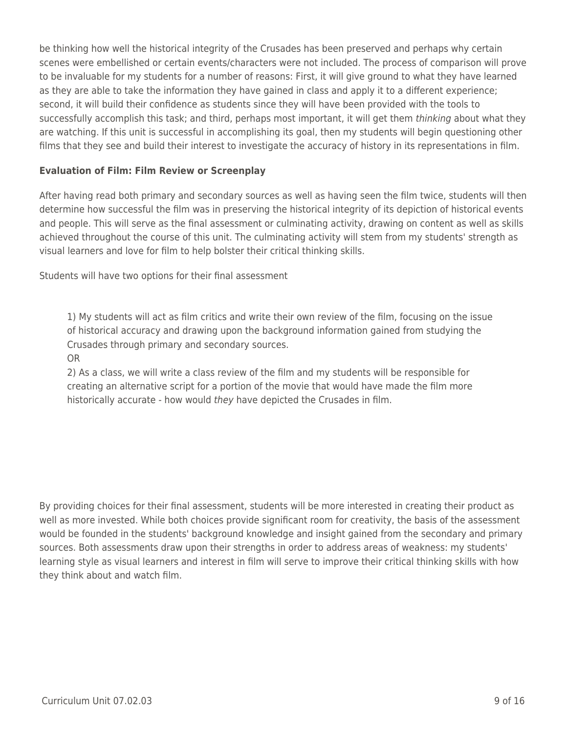be thinking how well the historical integrity of the Crusades has been preserved and perhaps why certain scenes were embellished or certain events/characters were not included. The process of comparison will prove to be invaluable for my students for a number of reasons: First, it will give ground to what they have learned as they are able to take the information they have gained in class and apply it to a different experience; second, it will build their confidence as students since they will have been provided with the tools to successfully accomplish this task; and third, perhaps most important, it will get them thinking about what they are watching. If this unit is successful in accomplishing its goal, then my students will begin questioning other films that they see and build their interest to investigate the accuracy of history in its representations in film.

### **Evaluation of Film: Film Review or Screenplay**

After having read both primary and secondary sources as well as having seen the film twice, students will then determine how successful the film was in preserving the historical integrity of its depiction of historical events and people. This will serve as the final assessment or culminating activity, drawing on content as well as skills achieved throughout the course of this unit. The culminating activity will stem from my students' strength as visual learners and love for film to help bolster their critical thinking skills.

Students will have two options for their final assessment

1) My students will act as film critics and write their own review of the film, focusing on the issue of historical accuracy and drawing upon the background information gained from studying the Crusades through primary and secondary sources.

OR

2) As a class, we will write a class review of the film and my students will be responsible for creating an alternative script for a portion of the movie that would have made the film more historically accurate - how would they have depicted the Crusades in film.

By providing choices for their final assessment, students will be more interested in creating their product as well as more invested. While both choices provide significant room for creativity, the basis of the assessment would be founded in the students' background knowledge and insight gained from the secondary and primary sources. Both assessments draw upon their strengths in order to address areas of weakness: my students' learning style as visual learners and interest in film will serve to improve their critical thinking skills with how they think about and watch film.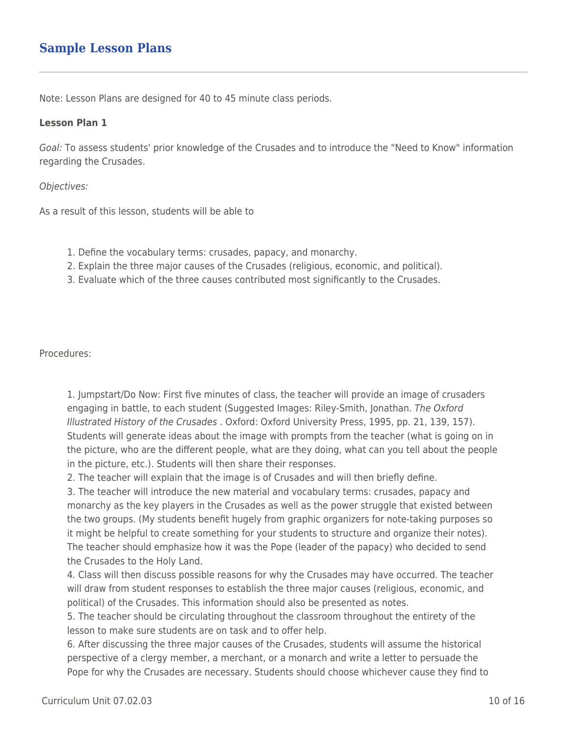## **Sample Lesson Plans**

Note: Lesson Plans are designed for 40 to 45 minute class periods.

#### **Lesson Plan 1**

Goal: To assess students' prior knowledge of the Crusades and to introduce the "Need to Know" information regarding the Crusades.

#### Objectives:

As a result of this lesson, students will be able to

- 1. Define the vocabulary terms: crusades, papacy, and monarchy.
- 2. Explain the three major causes of the Crusades (religious, economic, and political).
- 3. Evaluate which of the three causes contributed most significantly to the Crusades.

Procedures:

1. Jumpstart/Do Now: First five minutes of class, the teacher will provide an image of crusaders engaging in battle, to each student (Suggested Images: Riley-Smith, Jonathan. The Oxford Illustrated History of the Crusades . Oxford: Oxford University Press, 1995, pp. 21, 139, 157). Students will generate ideas about the image with prompts from the teacher (what is going on in the picture, who are the different people, what are they doing, what can you tell about the people in the picture, etc.). Students will then share their responses.

2. The teacher will explain that the image is of Crusades and will then briefly define.

3. The teacher will introduce the new material and vocabulary terms: crusades, papacy and monarchy as the key players in the Crusades as well as the power struggle that existed between the two groups. (My students benefit hugely from graphic organizers for note-taking purposes so it might be helpful to create something for your students to structure and organize their notes). The teacher should emphasize how it was the Pope (leader of the papacy) who decided to send the Crusades to the Holy Land.

4. Class will then discuss possible reasons for why the Crusades may have occurred. The teacher will draw from student responses to establish the three major causes (religious, economic, and political) of the Crusades. This information should also be presented as notes.

5. The teacher should be circulating throughout the classroom throughout the entirety of the lesson to make sure students are on task and to offer help.

6. After discussing the three major causes of the Crusades, students will assume the historical perspective of a clergy member, a merchant, or a monarch and write a letter to persuade the Pope for why the Crusades are necessary. Students should choose whichever cause they find to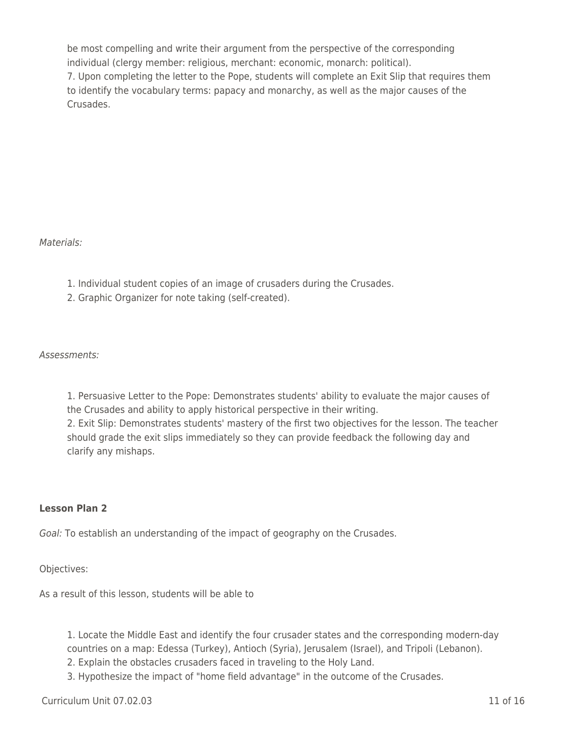be most compelling and write their argument from the perspective of the corresponding individual (clergy member: religious, merchant: economic, monarch: political). 7. Upon completing the letter to the Pope, students will complete an Exit Slip that requires them to identify the vocabulary terms: papacy and monarchy, as well as the major causes of the Crusades.

Materials:

- 1. Individual student copies of an image of crusaders during the Crusades.
- 2. Graphic Organizer for note taking (self-created).

Assessments:

1. Persuasive Letter to the Pope: Demonstrates students' ability to evaluate the major causes of the Crusades and ability to apply historical perspective in their writing. 2. Exit Slip: Demonstrates students' mastery of the first two objectives for the lesson. The teacher should grade the exit slips immediately so they can provide feedback the following day and clarify any mishaps.

### **Lesson Plan 2**

Goal: To establish an understanding of the impact of geography on the Crusades.

Objectives:

As a result of this lesson, students will be able to

1. Locate the Middle East and identify the four crusader states and the corresponding modern-day countries on a map: Edessa (Turkey), Antioch (Syria), Jerusalem (Israel), and Tripoli (Lebanon).

- 2. Explain the obstacles crusaders faced in traveling to the Holy Land.
- 3. Hypothesize the impact of "home field advantage" in the outcome of the Crusades.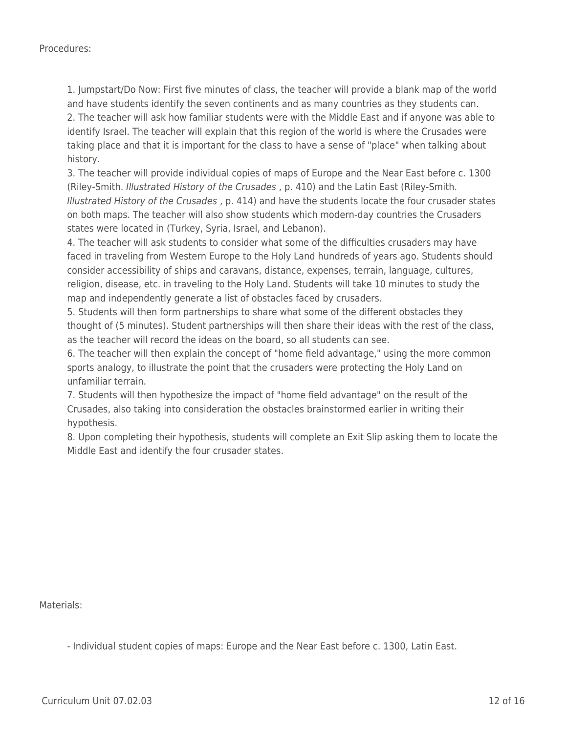1. Jumpstart/Do Now: First five minutes of class, the teacher will provide a blank map of the world and have students identify the seven continents and as many countries as they students can.

2. The teacher will ask how familiar students were with the Middle East and if anyone was able to identify Israel. The teacher will explain that this region of the world is where the Crusades were taking place and that it is important for the class to have a sense of "place" when talking about history.

3. The teacher will provide individual copies of maps of Europe and the Near East before c. 1300 (Riley-Smith. Illustrated History of the Crusades , p. 410) and the Latin East (Riley-Smith. Illustrated History of the Crusades , p. 414) and have the students locate the four crusader states on both maps. The teacher will also show students which modern-day countries the Crusaders states were located in (Turkey, Syria, Israel, and Lebanon).

4. The teacher will ask students to consider what some of the difficulties crusaders may have faced in traveling from Western Europe to the Holy Land hundreds of years ago. Students should consider accessibility of ships and caravans, distance, expenses, terrain, language, cultures, religion, disease, etc. in traveling to the Holy Land. Students will take 10 minutes to study the map and independently generate a list of obstacles faced by crusaders.

5. Students will then form partnerships to share what some of the different obstacles they thought of (5 minutes). Student partnerships will then share their ideas with the rest of the class, as the teacher will record the ideas on the board, so all students can see.

6. The teacher will then explain the concept of "home field advantage," using the more common sports analogy, to illustrate the point that the crusaders were protecting the Holy Land on unfamiliar terrain.

7. Students will then hypothesize the impact of "home field advantage" on the result of the Crusades, also taking into consideration the obstacles brainstormed earlier in writing their hypothesis.

8. Upon completing their hypothesis, students will complete an Exit Slip asking them to locate the Middle East and identify the four crusader states.

Materials:

- Individual student copies of maps: Europe and the Near East before c. 1300, Latin East.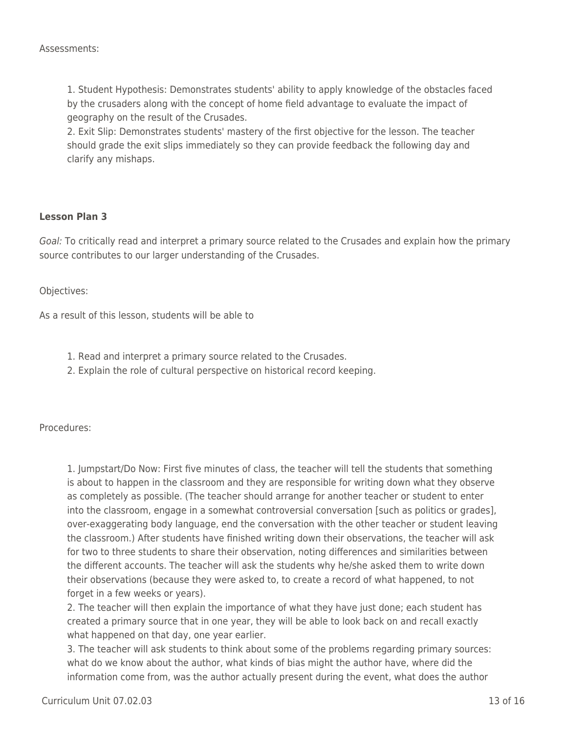1. Student Hypothesis: Demonstrates students' ability to apply knowledge of the obstacles faced by the crusaders along with the concept of home field advantage to evaluate the impact of geography on the result of the Crusades.

2. Exit Slip: Demonstrates students' mastery of the first objective for the lesson. The teacher should grade the exit slips immediately so they can provide feedback the following day and clarify any mishaps.

#### **Lesson Plan 3**

Goal: To critically read and interpret a primary source related to the Crusades and explain how the primary source contributes to our larger understanding of the Crusades.

Objectives:

As a result of this lesson, students will be able to

- 1. Read and interpret a primary source related to the Crusades.
- 2. Explain the role of cultural perspective on historical record keeping.

Procedures:

1. Jumpstart/Do Now: First five minutes of class, the teacher will tell the students that something is about to happen in the classroom and they are responsible for writing down what they observe as completely as possible. (The teacher should arrange for another teacher or student to enter into the classroom, engage in a somewhat controversial conversation [such as politics or grades], over-exaggerating body language, end the conversation with the other teacher or student leaving the classroom.) After students have finished writing down their observations, the teacher will ask for two to three students to share their observation, noting differences and similarities between the different accounts. The teacher will ask the students why he/she asked them to write down their observations (because they were asked to, to create a record of what happened, to not forget in a few weeks or years).

2. The teacher will then explain the importance of what they have just done; each student has created a primary source that in one year, they will be able to look back on and recall exactly what happened on that day, one year earlier.

3. The teacher will ask students to think about some of the problems regarding primary sources: what do we know about the author, what kinds of bias might the author have, where did the information come from, was the author actually present during the event, what does the author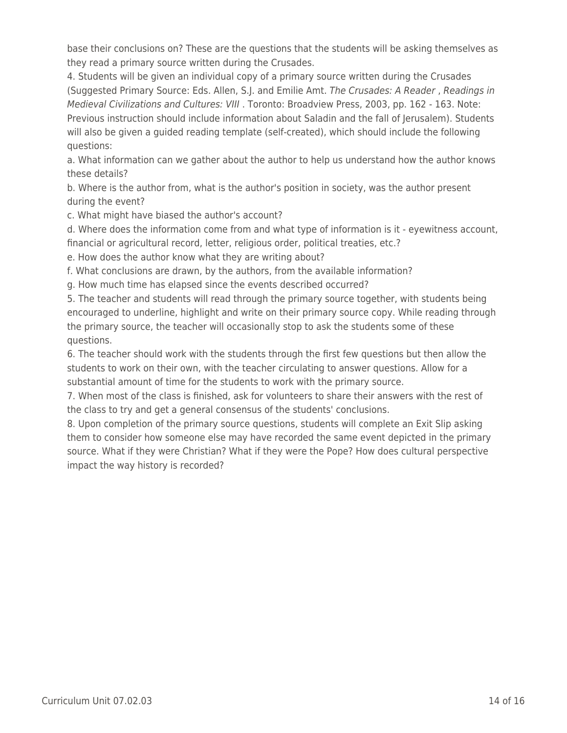base their conclusions on? These are the questions that the students will be asking themselves as they read a primary source written during the Crusades.

4. Students will be given an individual copy of a primary source written during the Crusades (Suggested Primary Source: Eds. Allen, S.J. and Emilie Amt. The Crusades: A Reader, Readings in Medieval Civilizations and Cultures: VIII . Toronto: Broadview Press, 2003, pp. 162 - 163. Note: Previous instruction should include information about Saladin and the fall of Jerusalem). Students will also be given a guided reading template (self-created), which should include the following questions:

a. What information can we gather about the author to help us understand how the author knows these details?

b. Where is the author from, what is the author's position in society, was the author present during the event?

c. What might have biased the author's account?

d. Where does the information come from and what type of information is it - eyewitness account, financial or agricultural record, letter, religious order, political treaties, etc.?

e. How does the author know what they are writing about?

f. What conclusions are drawn, by the authors, from the available information?

g. How much time has elapsed since the events described occurred?

5. The teacher and students will read through the primary source together, with students being encouraged to underline, highlight and write on their primary source copy. While reading through the primary source, the teacher will occasionally stop to ask the students some of these questions.

6. The teacher should work with the students through the first few questions but then allow the students to work on their own, with the teacher circulating to answer questions. Allow for a substantial amount of time for the students to work with the primary source.

7. When most of the class is finished, ask for volunteers to share their answers with the rest of the class to try and get a general consensus of the students' conclusions.

8. Upon completion of the primary source questions, students will complete an Exit Slip asking them to consider how someone else may have recorded the same event depicted in the primary source. What if they were Christian? What if they were the Pope? How does cultural perspective impact the way history is recorded?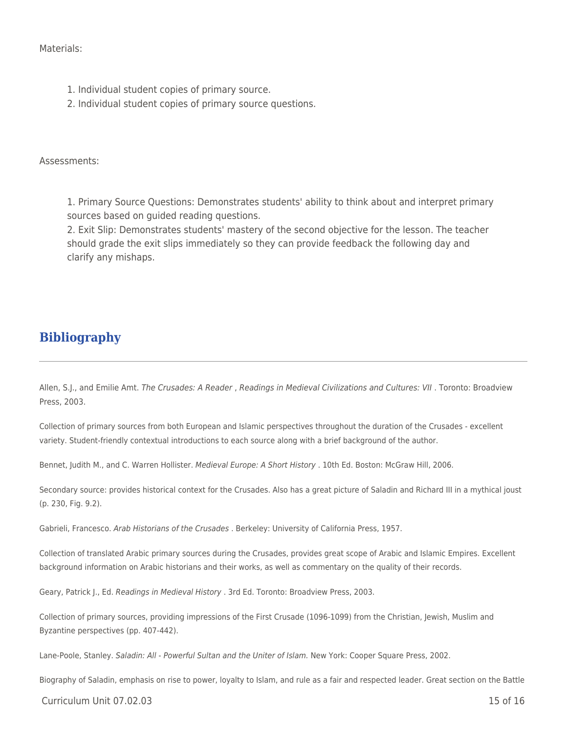Materials:

- 1. Individual student copies of primary source.
- 2. Individual student copies of primary source questions.

Assessments:

1. Primary Source Questions: Demonstrates students' ability to think about and interpret primary sources based on guided reading questions.

2. Exit Slip: Demonstrates students' mastery of the second objective for the lesson. The teacher should grade the exit slips immediately so they can provide feedback the following day and clarify any mishaps.

### **Bibliography**

Allen, S.J., and Emilie Amt. The Crusades: A Reader , Readings in Medieval Civilizations and Cultures: VII . Toronto: Broadview Press, 2003.

Collection of primary sources from both European and Islamic perspectives throughout the duration of the Crusades - excellent variety. Student-friendly contextual introductions to each source along with a brief background of the author.

Bennet, Judith M., and C. Warren Hollister. Medieval Europe: A Short History . 10th Ed. Boston: McGraw Hill, 2006.

Secondary source: provides historical context for the Crusades. Also has a great picture of Saladin and Richard III in a mythical joust (p. 230, Fig. 9.2).

Gabrieli, Francesco. Arab Historians of the Crusades . Berkeley: University of California Press, 1957.

Collection of translated Arabic primary sources during the Crusades, provides great scope of Arabic and Islamic Empires. Excellent background information on Arabic historians and their works, as well as commentary on the quality of their records.

Geary, Patrick J., Ed. Readings in Medieval History . 3rd Ed. Toronto: Broadview Press, 2003.

Collection of primary sources, providing impressions of the First Crusade (1096-1099) from the Christian, Jewish, Muslim and Byzantine perspectives (pp. 407-442).

Lane-Poole, Stanley. Saladin: All - Powerful Sultan and the Uniter of Islam. New York: Cooper Square Press, 2002.

Biography of Saladin, emphasis on rise to power, loyalty to Islam, and rule as a fair and respected leader. Great section on the Battle

Curriculum Unit 07.02.03 15 of 16